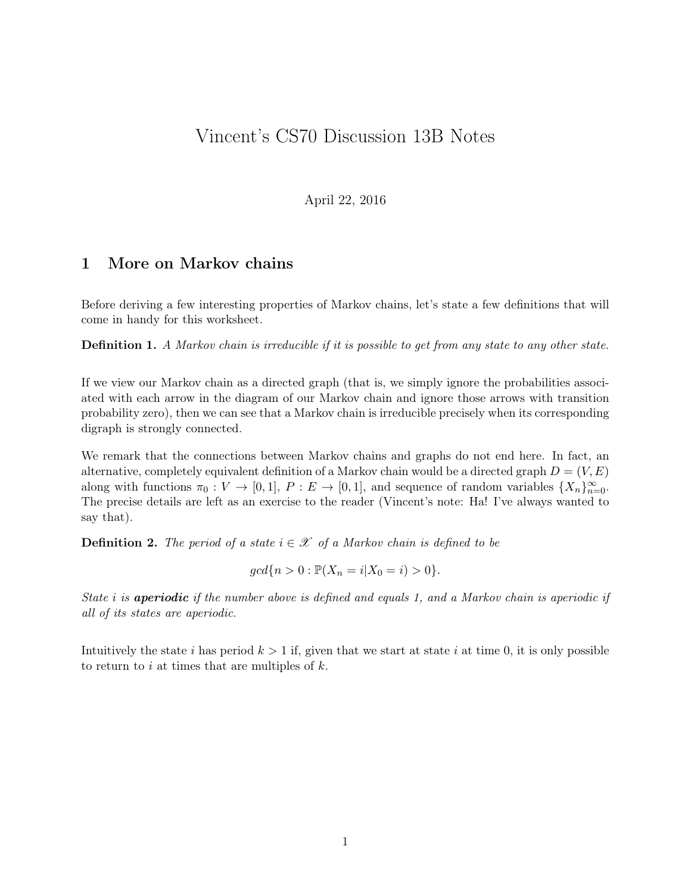# Vincent's CS70 Discussion 13B Notes

April 22, 2016

## 1 More on Markov chains

Before deriving a few interesting properties of Markov chains, let's state a few definitions that will come in handy for this worksheet.

**Definition 1.** A Markov chain is irreducible if it is possible to get from any state to any other state.

If we view our Markov chain as a directed graph (that is, we simply ignore the probabilities associated with each arrow in the diagram of our Markov chain and ignore those arrows with transition probability zero), then we can see that a Markov chain is irreducible precisely when its corresponding digraph is strongly connected.

We remark that the connections between Markov chains and graphs do not end here. In fact, an alternative, completely equivalent definition of a Markov chain would be a directed graph  $D = (V, E)$ along with functions  $\pi_0 : V \to [0,1], P : E \to [0,1],$  and sequence of random variables  $\{X_n\}_{n=0}^{\infty}$ . The precise details are left as an exercise to the reader (Vincent's note: Ha! I've always wanted to say that).

**Definition 2.** The period of a state  $i \in \mathcal{X}$  of a Markov chain is defined to be

$$
gcd\{n > 0 : \mathbb{P}(X_n = i | X_0 = i) > 0\}.
$$

State *i* is **aperiodic** if the number above is defined and equals 1, and a Markov chain is aperiodic if all of its states are aperiodic.

Intuitively the state i has period  $k > 1$  if, given that we start at state i at time 0, it is only possible to return to i at times that are multiples of  $k$ .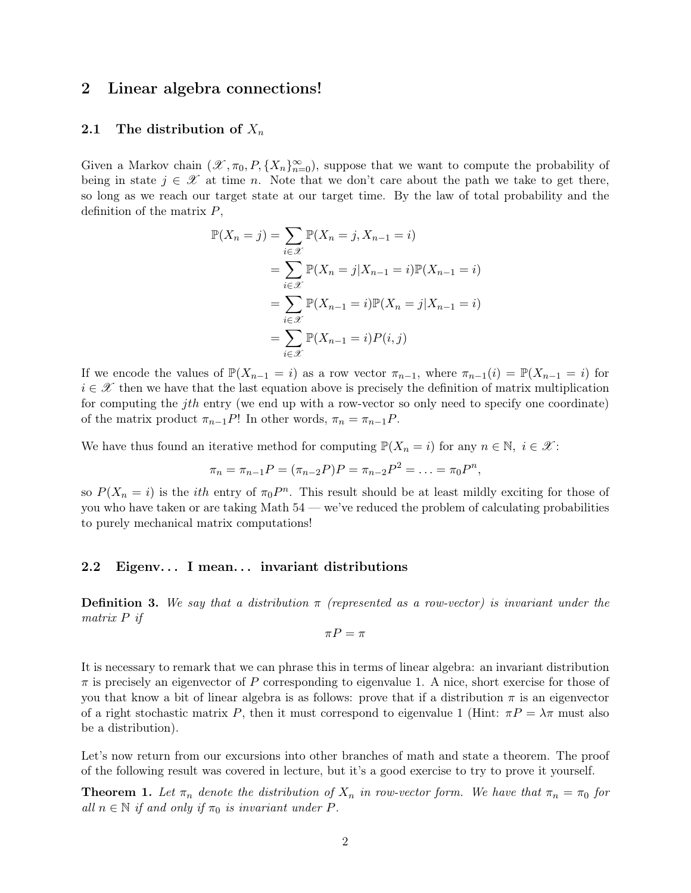### 2 Linear algebra connections!

#### 2.1 The distribution of  $X_n$

Given a Markov chain  $(\mathscr{X}, \pi_0, P, \{X_n\}_{n=0}^{\infty})$ , suppose that we want to compute the probability of being in state  $j \in \mathcal{X}$  at time n. Note that we don't care about the path we take to get there, so long as we reach our target state at our target time. By the law of total probability and the definition of the matrix  $P$ ,

$$
\mathbb{P}(X_n = j) = \sum_{i \in \mathcal{X}} \mathbb{P}(X_n = j, X_{n-1} = i)
$$
  
= 
$$
\sum_{i \in \mathcal{X}} \mathbb{P}(X_n = j | X_{n-1} = i) \mathbb{P}(X_{n-1} = i)
$$
  
= 
$$
\sum_{i \in \mathcal{X}} \mathbb{P}(X_{n-1} = i) \mathbb{P}(X_n = j | X_{n-1} = i)
$$
  
= 
$$
\sum_{i \in \mathcal{X}} \mathbb{P}(X_{n-1} = i) P(i, j)
$$

If we encode the values of  $\mathbb{P}(X_{n-1} = i)$  as a row vector  $\pi_{n-1}$ , where  $\pi_{n-1}(i) = \mathbb{P}(X_{n-1} = i)$  for  $i \in \mathcal{X}$  then we have that the last equation above is precisely the definition of matrix multiplication for computing the jth entry (we end up with a row-vector so only need to specify one coordinate) of the matrix product  $\pi_{n-1}P!$ ! In other words,  $\pi_n = \pi_{n-1}P$ .

We have thus found an iterative method for computing  $\mathbb{P}(X_n = i)$  for any  $n \in \mathbb{N}, i \in \mathcal{X}$ :

$$
\pi_n = \pi_{n-1}P = (\pi_{n-2}P)P = \pi_{n-2}P^2 = \ldots = \pi_0P^n,
$$

so  $P(X_n = i)$  is the *ith* entry of  $\pi_0 P^n$ . This result should be at least mildly exciting for those of you who have taken or are taking Math 54 — we've reduced the problem of calculating probabilities to purely mechanical matrix computations!

#### 2.2 Eigenv... I mean... invariant distributions

**Definition 3.** We say that a distribution  $\pi$  (represented as a row-vector) is invariant under the matrix P if

$$
\pi P = \pi
$$

It is necessary to remark that we can phrase this in terms of linear algebra: an invariant distribution  $\pi$  is precisely an eigenvector of P corresponding to eigenvalue 1. A nice, short exercise for those of you that know a bit of linear algebra is as follows: prove that if a distribution  $\pi$  is an eigenvector of a right stochastic matrix P, then it must correspond to eigenvalue 1 (Hint:  $\pi P = \lambda \pi$  must also be a distribution).

Let's now return from our excursions into other branches of math and state a theorem. The proof of the following result was covered in lecture, but it's a good exercise to try to prove it yourself.

**Theorem 1.** Let  $\pi_n$  denote the distribution of  $X_n$  in row-vector form. We have that  $\pi_n = \pi_0$  for all  $n \in \mathbb{N}$  if and only if  $\pi_0$  is invariant under P.